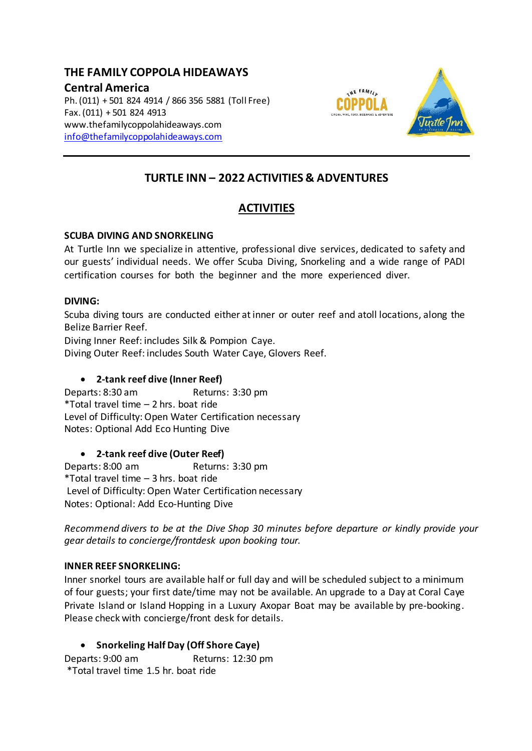# **THE FAMILY COPPOLA HIDEAWAYS**

## **Central America**

Ph. (011) + 501 824 4914 / 866 356 5881 (Toll Free) Fax. (011) + 501 824 4913 www.thefamilycoppolahideaways.com [info@thefamilycoppolahideaways.com](mailto:info@thefamilycoppolahideaways.com)



# **TURTLE INN – 2022 ACTIVITIES & ADVENTURES**

# **ACTIVITIES**

## **SCUBA DIVING AND SNORKELING**

At Turtle Inn we specialize in attentive, professional dive services, dedicated to safety and our guests' individual needs. We offer Scuba Diving, Snorkeling and a wide range of PADI certification courses for both the beginner and the more experienced diver.

## **DIVING:**

Scuba diving tours are conducted either atinner or outer reef and atoll locations, along the Belize Barrier Reef.

Diving Inner Reef: includes Silk & Pompion Caye.

Diving Outer Reef: includes South Water Caye, Glovers Reef.

## **2-tank reef dive (Inner Reef)**

Departs: 8:30 am Returns: 3:30 pm \*Total travel time – 2 hrs. boat ride Level of Difficulty: Open Water Certification necessary Notes: Optional Add Eco Hunting Dive

## **2-tank reef dive (Outer Reef)**

Departs: 8:00 am Returns: 3:30 pm \*Total travel time – 3 hrs. boat ride Level of Difficulty: Open Water Certification necessary Notes: Optional: Add Eco-Hunting Dive

*Recommend divers to be at the Dive Shop 30 minutes before departure or kindly provide your gear details to concierge/frontdesk upon booking tour.*

## **INNER REEF SNORKELING:**

Inner snorkel tours are available half or full day and will be scheduled subject to a minimum of four guests; your first date/time may not be available. An upgrade to a Day at Coral Caye Private Island or Island Hopping in a Luxury Axopar Boat may be available by pre-booking. Please check with concierge/front desk for details.

## **Snorkeling Half Day (Off Shore Caye)**

Departs: 9:00 am Returns: 12:30 pm \*Total travel time 1.5 hr. boat ride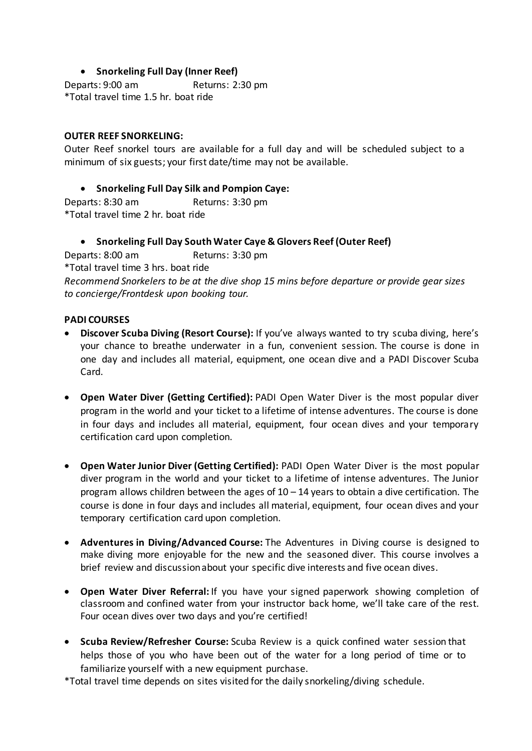## **Snorkeling Full Day (Inner Reef)**

Departs: 9:00 am Returns: 2:30 pm \*Total travel time 1.5 hr. boat ride

## **OUTER REEF SNORKELING:**

Outer Reef snorkel tours are available for a full day and will be scheduled subject to a minimum of six guests; your first date/time may not be available.

## **Snorkeling Full Day Silk and Pompion Caye:**

Departs: 8:30 am Returns: 3:30 pm \*Total travel time 2 hr. boat ride

**Snorkeling Full Day South Water Caye & Glovers Reef (Outer Reef)**

Departs: 8:00 am Returns: 3:30 pm \*Total travel time 3 hrs. boat ride *Recommend Snorkelers to be at the dive shop 15 mins before departure or provide gear sizes to concierge/Frontdesk upon booking tour.*

## **PADI COURSES**

- **Discover Scuba Diving (Resort Course):** If you've always wanted to try scuba diving, here's your chance to breathe underwater in a fun, convenient session. The course is done in one day and includes all material, equipment, one ocean dive and a PADI Discover Scuba Card.
- **Open Water Diver (Getting Certified):** PADI Open Water Diver is the most popular diver program in the world and your ticket to a lifetime of intense adventures. The course is done in four days and includes all material, equipment, four ocean dives and your temporary certification card upon completion.
- **Open Water Junior Diver (Getting Certified):** PADI Open Water Diver is the most popular diver program in the world and your ticket to a lifetime of intense adventures. The Junior program allows children between the ages of 10 – 14 years to obtain a dive certification. The course is done in four days and includes all material, equipment, four ocean dives and your temporary certification card upon completion.
- **Adventures in Diving/Advanced Course:** The Adventures in Diving course is designed to make diving more enjoyable for the new and the seasoned diver. This course involves a brief review and discussionabout your specific dive interests and five ocean dives.
- **Open Water Diver Referral:** If you have your signed paperwork showing completion of classroom and confined water from your instructor back home, we'll take care of the rest. Four ocean dives over two days and you're certified!
- **Scuba Review/Refresher Course:** Scuba Review is a quick confined water session that helps those of you who have been out of the water for a long period of time or to familiarize yourself with a new equipment purchase.

\*Total travel time depends on sites visited for the daily snorkeling/diving schedule.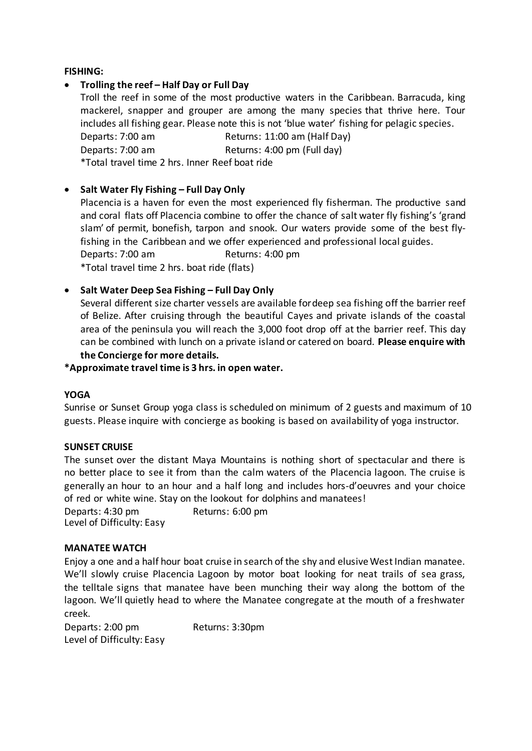## **FISHING:**

## **Trolling the reef – Half Day or Full Day**

Troll the reef in some of the most productive waters in the Caribbean. Barracuda, king mackerel, snapper and grouper are among the many species that thrive here. Tour includes all fishing gear. Please note this is not 'blue water' fishing for pelagic species. Departs: 7:00 am Returns: 11:00 am (Half Day) Departs: 7:00 am Returns: 4:00 pm (Full day)

\*Total travel time 2 hrs. Inner Reef boat ride

## **Salt Water Fly Fishing – Full Day Only**

Placencia is a haven for even the most experienced fly fisherman. The productive sand and coral flats off Placencia combine to offer the chance of salt water fly fishing's 'grand slam' of permit, bonefish, tarpon and snook. Our waters provide some of the best flyfishing in the Caribbean and we offer experienced and professional local guides. Departs: 7:00 am Returns: 4:00 pm \*Total travel time 2 hrs. boat ride (flats)

## **Salt Water Deep Sea Fishing – Full Day Only**

Several different size charter vessels are available fordeep sea fishing off the barrier reef of Belize. After cruising through the beautiful Cayes and private islands of the coastal area of the peninsula you will reach the 3,000 foot drop off at the barrier reef. This day can be combined with lunch on a private island or catered on board. **Please enquire with the Concierge for more details.**

**\*Approximate travel time is 3 hrs. in open water.**

## **YOGA**

Sunrise or Sunset Group yoga class is scheduled on minimum of 2 guests and maximum of 10 guests. Please inquire with concierge as booking is based on availability of yoga instructor.

## **SUNSET CRUISE**

The sunset over the distant Maya Mountains is nothing short of spectacular and there is no better place to see it from than the calm waters of the Placencia lagoon. The cruise is generally an hour to an hour and a half long and includes hors-d'oeuvres and your choice of red or white wine. Stay on the lookout for dolphins and manatees! Departs: 4:30 pm Returns: 6:00 pm

Level of Difficulty: Easy

## **MANATEE WATCH**

Enjoy a one and a half hour boat cruise in search of the shy and elusive West Indian manatee. We'll slowly cruise Placencia Lagoon by motor boat looking for neat trails of sea grass, the telltale signs that manatee have been munching their way along the bottom of the lagoon. We'll quietly head to where the Manatee congregate at the mouth of a freshwater creek.

Departs: 2:00 pm Returns: 3:30pm Level of Difficulty: Easy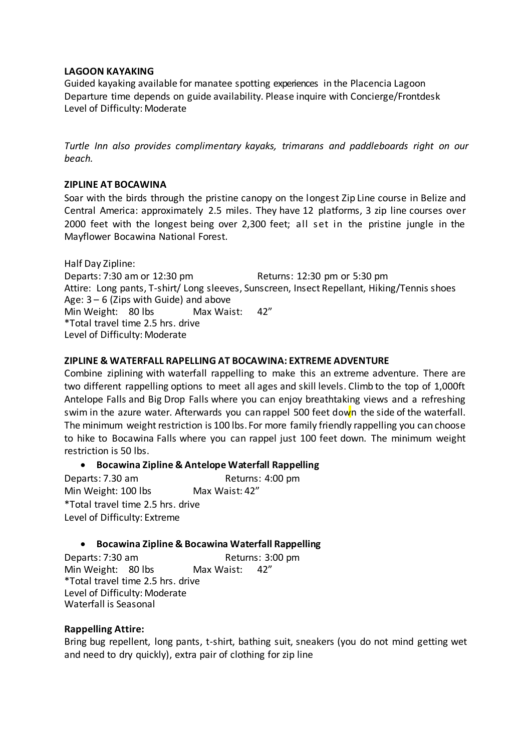#### **LAGOON KAYAKING**

Guided kayaking available for manatee spotting experiences in the Placencia Lagoon Departure time depends on guide availability. Please inquire with Concierge/Frontdesk Level of Difficulty: Moderate

*Turtle Inn also provides complimentary kayaks, trimarans and paddleboards right on our beach.*

## **ZIPLINE AT BOCAWINA**

Soar with the birds through the pristine canopy on the longest Zip Line course in Belize and Central America: approximately 2.5 miles. They have 12 platforms, 3 zip line courses over 2000 feet with the longest being over 2,300 feet; all set in the pristine jungle in the Mayflower Bocawina National Forest.

Half Day Zipline: Departs: 7:30 am or 12:30 pm Returns: 12:30 pm or 5:30 pm Attire: Long pants, T-shirt/ Long sleeves, Sunscreen, Insect Repellant, Hiking/Tennis shoes Age:  $3 - 6$  (Zips with Guide) and above Min Weight: 80 lbs Max Waist: 42" \*Total travel time 2.5 hrs. drive Level of Difficulty: Moderate

## **ZIPLINE & WATERFALL RAPELLING AT BOCAWINA: EXTREME ADVENTURE**

Combine ziplining with waterfall rappelling to make this an extreme adventure. There are two different rappelling options to meet all ages and skill levels. Climb to the top of 1,000ft Antelope Falls and Big Drop Falls where you can enjoy breathtaking views and a refreshing swim in the azure water. Afterwards you can rappel 500 feet down the side of the waterfall. The minimum weight restriction is 100 lbs. For more family friendly rappelling you can choose to hike to Bocawina Falls where you can rappel just 100 feet down. The minimum weight restriction is 50 lbs.

## **Bocawina Zipline & Antelope Waterfall Rappelling**

Departs: 7.30 am Returns: 4:00 pm Min Weight: 100 lbs Max Waist: 42" \*Total travel time 2.5 hrs. drive Level of Difficulty: Extreme

## **Bocawina Zipline & Bocawina Waterfall Rappelling**

Departs: 7:30 am Returns: 3:00 pm<br>
Min Weight: 80 lbs Max Waist: 42" Min Weight: 80 lbs \*Total travel time 2.5 hrs. drive Level of Difficulty: Moderate Waterfall is Seasonal

#### **Rappelling Attire:**

Bring bug repellent, long pants, t-shirt, bathing suit, sneakers (you do not mind getting wet and need to dry quickly), extra pair of clothing for zip line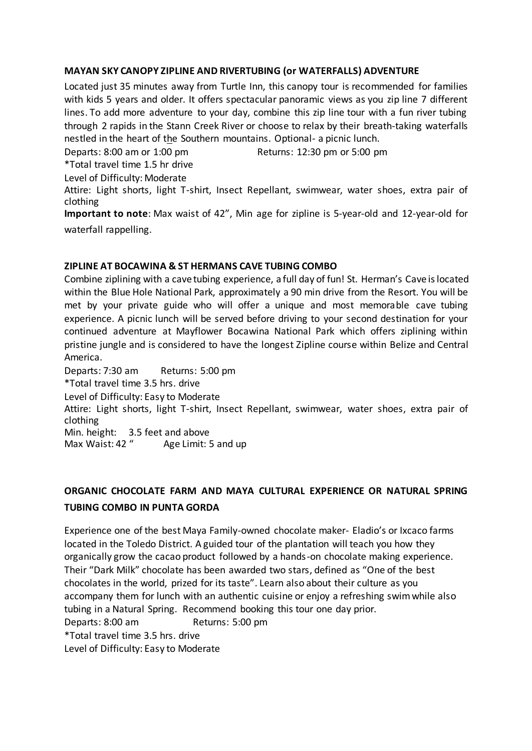## **MAYAN SKY CANOPY ZIPLINE AND RIVERTUBING (or WATERFALLS) ADVENTURE**

Located just 35 minutes away from Turtle Inn, this canopy tour is recommended for families with kids 5 years and older. It offers spectacular panoramic views as you zip line 7 different lines. To add more adventure to your day, combine this zip line tour with a fun river tubing through 2 rapids in the Stann Creek River or choose to relax by their breath-taking waterfalls nestled in the heart of the Southern mountains. Optional- a picnic lunch.

Departs: 8:00 am or 1:00 pm Returns: 12:30 pm or 5:00 pm

\*Total travel time 1.5 hr drive

Level of Difficulty: Moderate

Attire: Light shorts, light T-shirt, Insect Repellant, swimwear, water shoes, extra pair of clothing

**Important to note**: Max waist of 42", Min age for zipline is 5-year-old and 12-year-old for waterfall rappelling.

## **ZIPLINE AT BOCAWINA & ST HERMANS CAVE TUBING COMBO**

Combine ziplining with a cave tubing experience, a full day of fun! St. Herman's Cave is located within the Blue Hole National Park, approximately a 90 min drive from the Resort. You will be met by your private guide who will offer a unique and most memorable cave tubing experience. A picnic lunch will be served before driving to your second destination for your continued adventure at Mayflower Bocawina National Park which offers ziplining within pristine jungle and is considered to have the longest Zipline course within Belize and Central America.

Departs: 7:30 am Returns: 5:00 pm

\*Total travel time 3.5 hrs. drive

Level of Difficulty: Easy to Moderate

Attire: Light shorts, light T-shirt, Insect Repellant, swimwear, water shoes, extra pair of clothing

Min. height: 3.5 feet and above<br>Max Waist: 42 "Age Limit: 5

Age Limit: 5 and up

# **ORGANIC CHOCOLATE FARM AND MAYA CULTURAL EXPERIENCE OR NATURAL SPRING TUBING COMBO IN PUNTA GORDA**

Experience one of the best Maya Family-owned chocolate maker- Eladio's or Ixcaco farms located in the Toledo District. A guided tour of the plantation will teach you how they organically grow the cacao product followed by a hands-on chocolate making experience. Their "Dark Milk" chocolate has been awarded two stars, defined as "One of the best chocolates in the world, prized for its taste". Learn also about their culture as you accompany them for lunch with an authentic cuisine or enjoy a refreshing swim while also tubing in a Natural Spring. Recommend booking this tour one day prior. Departs: 8:00 am Returns: 5:00 pm \*Total travel time 3.5 hrs. drive

Level of Difficulty: Easy to Moderate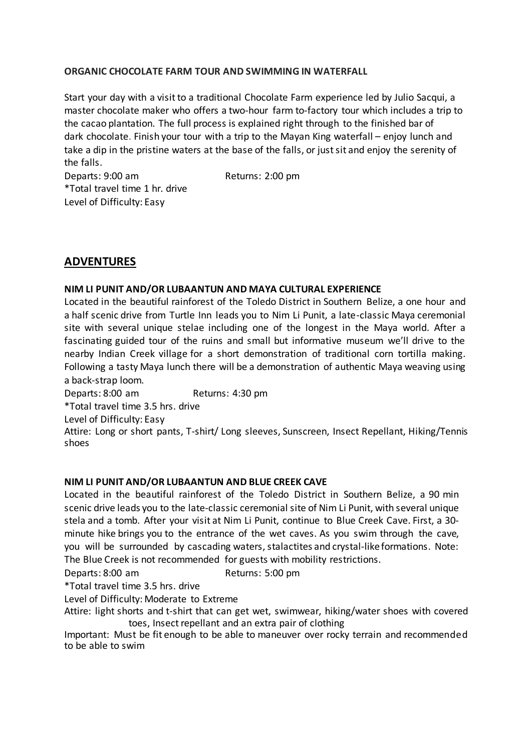## **ORGANIC CHOCOLATE FARM TOUR AND SWIMMING IN WATERFALL**

Start your day with a visit to a traditional Chocolate Farm experience led by Julio Sacqui, a master chocolate maker who offers a two-hour farm to-factory tour which includes a trip to the cacao plantation. The full process is explained right through to the finished bar of dark chocolate. Finish your tour with a trip to the Mayan King waterfall – enjoy lunch and take a dip in the pristine waters at the base of the falls, or just sit and enjoy the serenity of the falls.

Departs: 9:00 am Returns: 2:00 pm \*Total travel time 1 hr. drive Level of Difficulty: Easy

# **ADVENTURES**

## **NIM LI PUNIT AND/OR LUBAANTUN AND MAYA CULTURAL EXPERIENCE**

Located in the beautiful rainforest of the Toledo District in Southern Belize, a one hour and a half scenic drive from Turtle Inn leads you to Nim Li Punit, a late-classic Maya ceremonial site with several unique stelae including one of the longest in the Maya world. After a fascinating guided tour of the ruins and small but informative museum we'll drive to the nearby Indian Creek village for a short demonstration of traditional corn tortilla making. Following a tasty Maya lunch there will be a demonstration of authentic Maya weaving using a back-strap loom.

Departs: 8:00 am Returns: 4:30 pm

\*Total travel time 3.5 hrs. drive

Level of Difficulty: Easy

Attire: Long or short pants, T-shirt/ Long sleeves, Sunscreen, Insect Repellant, Hiking/Tennis shoes

## **NIM LI PUNIT AND/OR LUBAANTUN AND BLUE CREEK CAVE**

Located in the beautiful rainforest of the Toledo District in Southern Belize, a 90 min scenic drive leads you to the late-classic ceremonial site of Nim Li Punit, with several unique stela and a tomb. After your visit at Nim Li Punit, continue to Blue Creek Cave. First, a 30 minute hike brings you to the entrance of the wet caves. As you swim through the cave, you will be surrounded by cascading waters, stalactites and crystal-like formations. Note: The Blue Creek is not recommended for guests with mobility restrictions.

Departs: 8:00 am Returns: 5:00 pm

\*Total travel time 3.5 hrs. drive

Level of Difficulty: Moderate to Extreme

Attire: light shorts and t-shirt that can get wet, swimwear, hiking/water shoes with covered toes, Insect repellant and an extra pair of clothing

Important: Must be fit enough to be able to maneuver over rocky terrain and recommended to be able to swim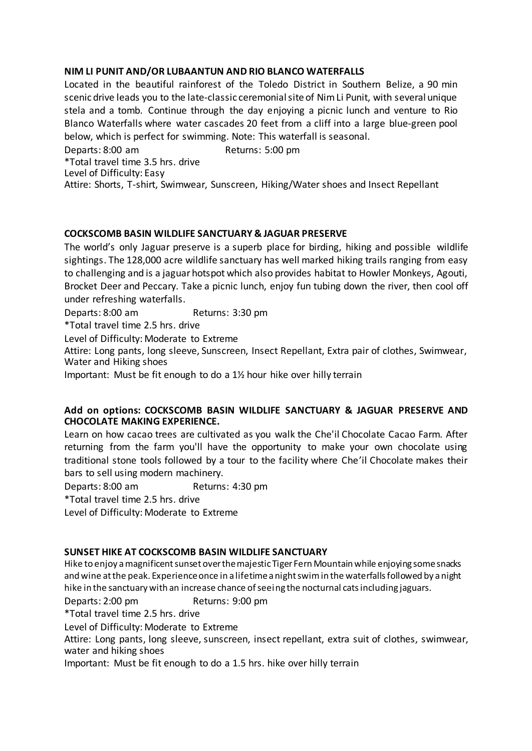## **NIM LI PUNIT AND/OR LUBAANTUN AND RIO BLANCO WATERFALLS**

Located in the beautiful rainforest of the Toledo District in Southern Belize, a 90 min scenic drive leads you to the late-classic ceremonialsiteof NimLi Punit, with several unique stela and a tomb. Continue through the day enjoying a picnic lunch and venture to Rio Blanco Waterfalls where water cascades 20 feet from a cliff into a large blue-green pool below, which is perfect for swimming. Note: This waterfall is seasonal.

Departs: 8:00 am Returns: 5:00 pm \*Total travel time 3.5 hrs. drive Level of Difficulty: Easy Attire: Shorts, T-shirt, Swimwear, Sunscreen, Hiking/Water shoes and Insect Repellant

## **COCKSCOMB BASIN WILDLIFE SANCTUARY & JAGUAR PRESERVE**

The world's only Jaguar preserve is a superb place for birding, hiking and possible wildlife sightings. The 128,000 acre wildlife sanctuary has well marked hiking trails ranging from easy to challenging and is a jaguar hotspot which also provides habitat to Howler Monkeys, Agouti, Brocket Deer and Peccary. Take a picnic lunch, enjoy fun tubing down the river, then cool off under refreshing waterfalls.

Departs: 8:00 am Returns: 3:30 pm

\*Total travel time 2.5 hrs. drive

Level of Difficulty: Moderate to Extreme

Attire: Long pants, long sleeve, Sunscreen, Insect Repellant, Extra pair of clothes, Swimwear, Water and Hiking shoes

Important: Must be fit enough to do a 1½ hour hike over hilly terrain

## **Add on options: COCKSCOMB BASIN WILDLIFE SANCTUARY & JAGUAR PRESERVE AND CHOCOLATE MAKING EXPERIENCE.**

Learn on how cacao trees are cultivated as you walk the Che'il Chocolate Cacao Farm. After returning from the farm you'll have the opportunity to make your own chocolate using traditional stone tools followed by a tour to the facility where Che'il Chocolate makes their bars to sell using modern machinery.

Departs: 8:00 am Returns: 4:30 pm

\*Total travel time 2.5 hrs. drive

Level of Difficulty: Moderate to Extreme

## **SUNSET HIKE AT COCKSCOMB BASIN WILDLIFE SANCTUARY**

Hike to enjoy a magnificent sunset over the majestic Tiger Fern Mountain while enjoying some snacks and wine at the peak. Experience once in a lifetime a night swim in the waterfalls followed by a night hike in the sanctuary with an increase chance of seeing the nocturnal cats including jaguars.

Departs: 2:00 pm Returns: 9:00 pm

\*Total travel time 2.5 hrs. drive

Level of Difficulty: Moderate to Extreme

Attire: Long pants, long sleeve, sunscreen, insect repellant, extra suit of clothes, swimwear, water and hiking shoes

Important: Must be fit enough to do a 1.5 hrs. hike over hilly terrain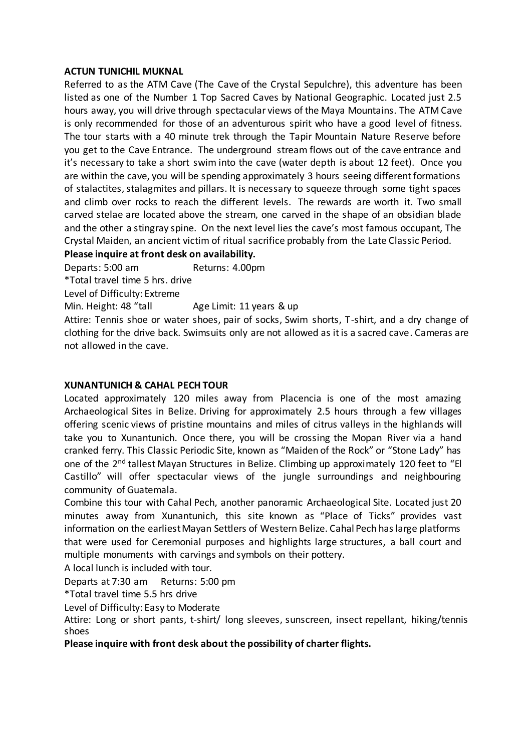## **ACTUN TUNICHIL MUKNAL**

Referred to as the ATM Cave (The Cave of the Crystal Sepulchre), this adventure has been listed as one of the Number 1 Top Sacred Caves by National Geographic. Located just 2.5 hours away, you will drive through spectacular views of the Maya Mountains. The ATM Cave is only recommended for those of an adventurous spirit who have a good level of fitness. The tour starts with a 40 minute trek through the Tapir Mountain Nature Reserve before you get to the Cave Entrance. The underground stream flows out of the cave entrance and it's necessary to take a short swim into the cave (water depth is about 12 feet). Once you are within the cave, you will be spending approximately 3 hours seeing different formations of stalactites, stalagmites and pillars. It is necessary to squeeze through some tight spaces and climb over rocks to reach the different levels. The rewards are worth it. Two small carved stelae are located above the stream, one carved in the shape of an obsidian blade and the other a stingray spine. On the next level lies the cave's most famous occupant, The Crystal Maiden, an ancient victim of ritual sacrifice probably from the Late Classic Period.

## **Please inquire at front desk on availability.**

Departs: 5:00 am Returns: 4.00pm

\*Total travel time 5 hrs. drive

Level of Difficulty: Extreme

Min. Height: 48 "tall Age Limit: 11 years & up

Attire: Tennis shoe or water shoes, pair of socks, Swim shorts, T-shirt, and a dry change of clothing for the drive back. Swimsuits only are not allowed as it is a sacred cave. Cameras are not allowed in the cave.

## **XUNANTUNICH & CAHAL PECH TOUR**

Located approximately 120 miles away from Placencia is one of the most amazing Archaeological Sites in Belize. Driving for approximately 2.5 hours through a few villages offering scenic views of pristine mountains and miles of citrus valleys in the highlands will take you to Xunantunich. Once there, you will be crossing the Mopan River via a hand cranked ferry. This Classic Periodic Site, known as "Maiden of the Rock" or "Stone Lady" has one of the 2<sup>nd</sup> tallest Mayan Structures in Belize. Climbing up approximately 120 feet to "El Castillo" will offer spectacular views of the jungle surroundings and neighbouring community of Guatemala.

Combine this tour with Cahal Pech, another panoramic Archaeological Site. Located just 20 minutes away from Xunantunich, this site known as "Place of Ticks" provides vast information on the earliest Mayan Settlers of Western Belize. Cahal Pech has large platforms that were used for Ceremonial purposes and highlights large structures, a ball court and multiple monuments with carvings and symbols on their pottery.

A local lunch is included with tour.

Departs at 7:30 am Returns: 5:00 pm

\*Total travel time 5.5 hrs drive

Level of Difficulty: Easy to Moderate

Attire: Long or short pants, t-shirt/ long sleeves, sunscreen, insect repellant, hiking/tennis shoes

**Please inquire with front desk about the possibility of charter flights.**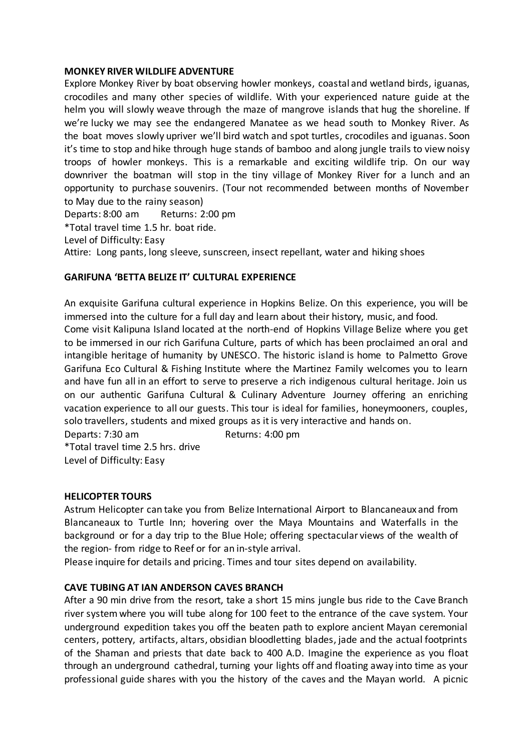#### **MONKEY RIVER WILDLIFE ADVENTURE**

Explore Monkey River by boat observing howler monkeys, coastal and wetland birds, iguanas, crocodiles and many other species of wildlife. With your experienced nature guide at the helm you will slowly weave through the maze of mangrove islands that hug the shoreline. If we're lucky we may see the endangered Manatee as we head south to Monkey River. As the boat moves slowly upriver we'll bird watch and spot turtles, crocodiles and iguanas. Soon it's time to stop and hike through huge stands of bamboo and along jungle trails to view noisy troops of howler monkeys. This is a remarkable and exciting wildlife trip. On our way downriver the boatman will stop in the tiny village of Monkey River for a lunch and an opportunity to purchase souvenirs. (Tour not recommended between months of November to May due to the rainy season)

Departs: 8:00 am Returns: 2:00 pm

\*Total travel time 1.5 hr. boat ride.

Level of Difficulty: Easy

Attire: Long pants, long sleeve, sunscreen, insect repellant, water and hiking shoes

## **GARIFUNA 'BETTA BELIZE IT' CULTURAL EXPERIENCE**

An exquisite Garifuna cultural experience in Hopkins Belize. On this experience, you will be immersed into the culture for a full day and learn about their history, music, and food.

Come visit Kalipuna Island located at the north-end of Hopkins Village Belize where you get to be immersed in our rich Garifuna Culture, parts of which has been proclaimed an oral and intangible heritage of humanity by UNESCO. The historic island is home to Palmetto Grove Garifuna Eco Cultural & Fishing Institute where the Martinez Family welcomes you to learn and have fun all in an effort to serve to preserve a rich indigenous cultural heritage. Join us on our authentic Garifuna Cultural & Culinary Adventure Journey offering an enriching vacation experience to all our guests. This tour is ideal for families, honeymooners, couples, solo travellers, students and mixed groups as it is very interactive and hands on.

Departs: 7:30 am Returns: 4:00 pm

\*Total travel time 2.5 hrs. drive Level of Difficulty: Easy

## **HELICOPTER TOURS**

Astrum Helicopter can take you from Belize International Airport to Blancaneaux and from Blancaneaux to Turtle Inn; hovering over the Maya Mountains and Waterfalls in the background or for a day trip to the Blue Hole; offering spectacular views of the wealth of the region- from ridge to Reef or for an in-style arrival.

Please inquire for details and pricing. Times and tour sites depend on availability.

## **CAVE TUBING AT IAN ANDERSON CAVES BRANCH**

After a 90 min drive from the resort, take a short 15 mins jungle bus ride to the Cave Branch river system where you will tube along for 100 feet to the entrance of the cave system. Your underground expedition takes you off the beaten path to explore ancient Mayan ceremonial centers, pottery, artifacts, altars, obsidian bloodletting blades, jade and the actual footprints of the Shaman and priests that date back to 400 A.D. Imagine the experience as you float through an underground cathedral, turning your lights off and floating away into time as your professional guide shares with you the history of the caves and the Mayan world. A picnic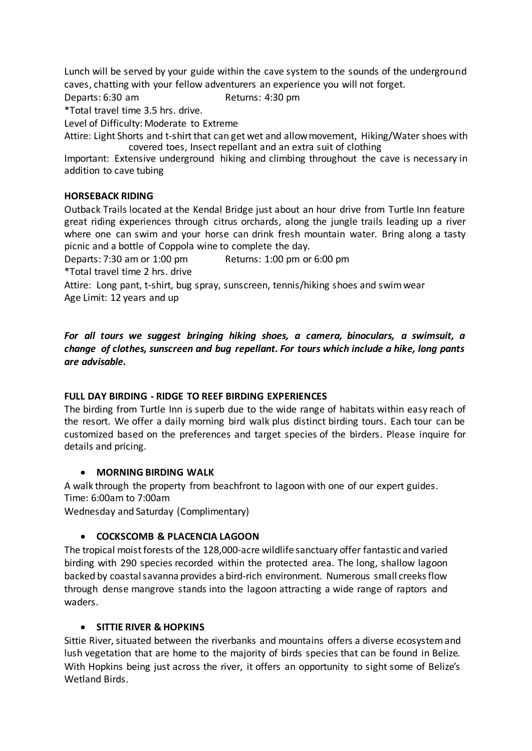Lunch will be served by your guide within the cave system to the sounds of the underground caves, chatting with your fellow adventurers an experience you will not forget.

Departs: 6:30 am Returns: 4:30 pm

\*Total travel time 3.5 hrs. drive.

Level of Difficulty: Moderate to Extreme

Attire: Light Shorts and t-shirt that can get wet and allow movement, Hiking/Water shoes with covered toes, Insect repellant and an extra suit of clothing

Important: Extensive underground hiking and climbing throughout the cave is necessary in addition to cave tubing

## **HORSEBACK RIDING**

Outback Trails located at the Kendal Bridge just about an hour drive from Turtle Inn feature great riding experiences through citrus orchards, along the jungle trails leading up a river where one can swim and your horse can drink fresh mountain water. Bring along a tasty picnic and a bottle of Coppola wine to complete the day.

Departs: 7:30 am or 1:00 pm Returns: 1:00 pm or 6:00 pm

\*Total travel time 2 hrs. drive

Attire: Long pant, t-shirt, bug spray, sunscreen, tennis/hiking shoes and swim wear Age Limit: 12 years and up

*For all tours we suggest bringing hiking shoes, a camera, binoculars, a swimsuit, a change of clothes, sunscreen and bug repellant. For tours which include a hike, long pants are advisable.*

## **FULL DAY BIRDING - RIDGE TO REEF BIRDING EXPERIENCES**

The birding from Turtle Inn is superb due to the wide range of habitats within easy reach of the resort. We offer a daily morning bird walk plus distinct birding tours. Each tour can be customized based on the preferences and target species of the birders. Please inquire for details and pricing.

#### **MORNING BIRDING WALK**

A walk through the property from beachfront to lagoon with one of our expert guides. Time: 6:00am to 7:00am

Wednesday and Saturday (Complimentary)

#### **COCKSCOMB & PLACENCIA LAGOON**

The tropical moist forests of the 128,000-acre wildlife sanctuary offer fantastic and varied birding with 290 species recorded within the protected area. The long, shallow lagoon backed by coastalsavanna provides a bird-rich environment. Numerous small creeksflow through dense mangrove stands into the lagoon attracting a wide range of raptors and waders.

#### **SITTIE RIVER & HOPKINS**

Sittie River, situated between the riverbanks and mountains offers a diverse ecosystem and lush vegetation that are home to the majority of birds species that can be found in Belize. With Hopkins being just across the river, it offers an opportunity to sight some of Belize's Wetland Birds.